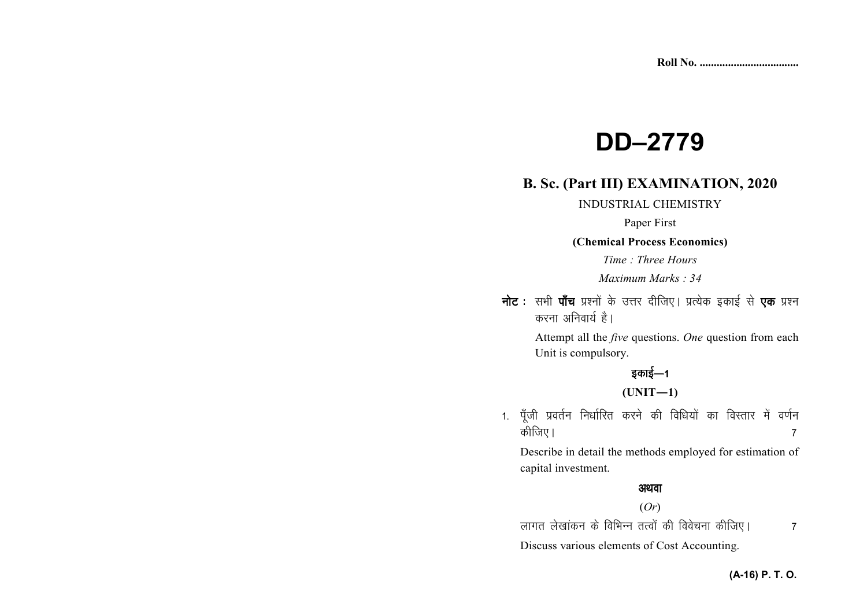# **DD-2779**

# **B. Sc. (Part III) EXAMINATION, 2020**

**INDUSTRIAL CHEMISTRY** 

Paper First

(Chemical Process Economics)

Time: Three Hours

Maximum Marks: 34

**नोट**: सभी **पाँच** प्रश्नों के उत्तर दीजिए। प्रत्येक इकाई से एक प्रश्न करना अनिवार्य है।

> Attempt all the *five* questions. One question from each Unit is compulsory.

# इकाई—1

# $(UNIT-1)$

1. पूँजी प्रवर्तन निर्धारित करने की विधियों का विस्तार में वर्णन कीजिए।  $\overline{7}$ 

Describe in detail the methods employed for estimation of capital investment.

# अथवा

## $(Or)$

लागत लेखांकन के विभिन्न तत्वों की विवेचना कीजिए।  $\overline{7}$ Discuss various elements of Cost Accounting.

#### (A-16) P. T. O.